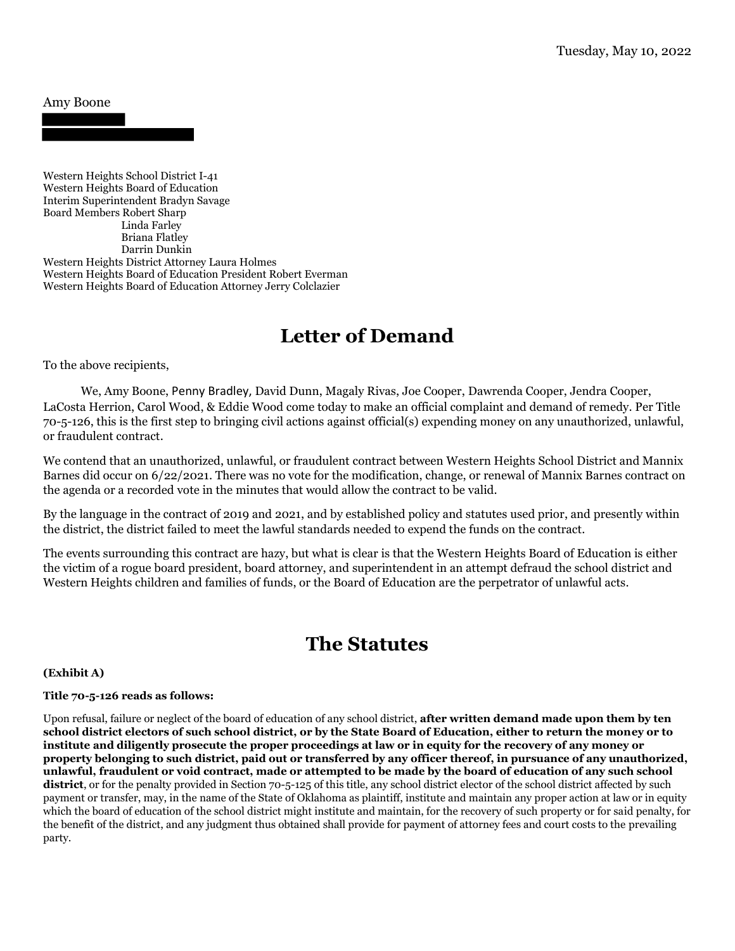#### Amy Boone

Western Heights School District I-41 Western Heights Board of Education Interim Superintendent Bradyn Savage Board Members Robert Sharp Linda Farley Briana Flatley Darrin Dunkin Western Heights District Attorney Laura Holmes Western Heights Board of Education President Robert Everman Western Heights Board of Education Attorney Jerry Colclazier

# **Letter of Demand**

To the above recipients,

 We, Amy Boone, Penny Bradley, David Dunn, Magaly Rivas, Joe Cooper, Dawrenda Cooper, Jendra Cooper, LaCosta Herrion, Carol Wood, & Eddie Wood come today to make an official complaint and demand of remedy. Per Title 70-5-126, this is the first step to bringing civil actions against official(s) expending money on any unauthorized, unlawful, or fraudulent contract.

We contend that an unauthorized, unlawful, or fraudulent contract between Western Heights School District and Mannix Barnes did occur on 6/22/2021. There was no vote for the modification, change, or renewal of Mannix Barnes contract on the agenda or a recorded vote in the minutes that would allow the contract to be valid.

By the language in the contract of 2019 and 2021, and by established policy and statutes used prior, and presently within the district, the district failed to meet the lawful standards needed to expend the funds on the contract.

The events surrounding this contract are hazy, but what is clear is that the Western Heights Board of Education is either the victim of a rogue board president, board attorney, and superintendent in an attempt defraud the school district and Western Heights children and families of funds, or the Board of Education are the perpetrator of unlawful acts.

## **The Statutes**

#### **(Exhibit A)**

#### **Title 70-5-126 reads as follows:**

Upon refusal, failure or neglect of the board of education of any school district, **after written demand made upon them by ten school district electors of such school district, or by the State Board of Education, either to return the money or to institute and diligently prosecute the proper proceedings at law or in equity for the recovery of any money or property belonging to such district, paid out or transferred by any officer thereof, in pursuance of any unauthorized, unlawful, fraudulent or void contract, made or attempted to be made by the board of education of any such school**  district, or for the penalty provided in Section 70-5-125 of this title, any school district elector of the school district affected by such payment or transfer, may, in the name of the State of Oklahoma as plaintiff, institute and maintain any proper action at law or in equity which the board of education of the school district might institute and maintain, for the recovery of such property or for said penalty, for the benefit of the district, and any judgment thus obtained shall provide for payment of attorney fees and court costs to the prevailing party.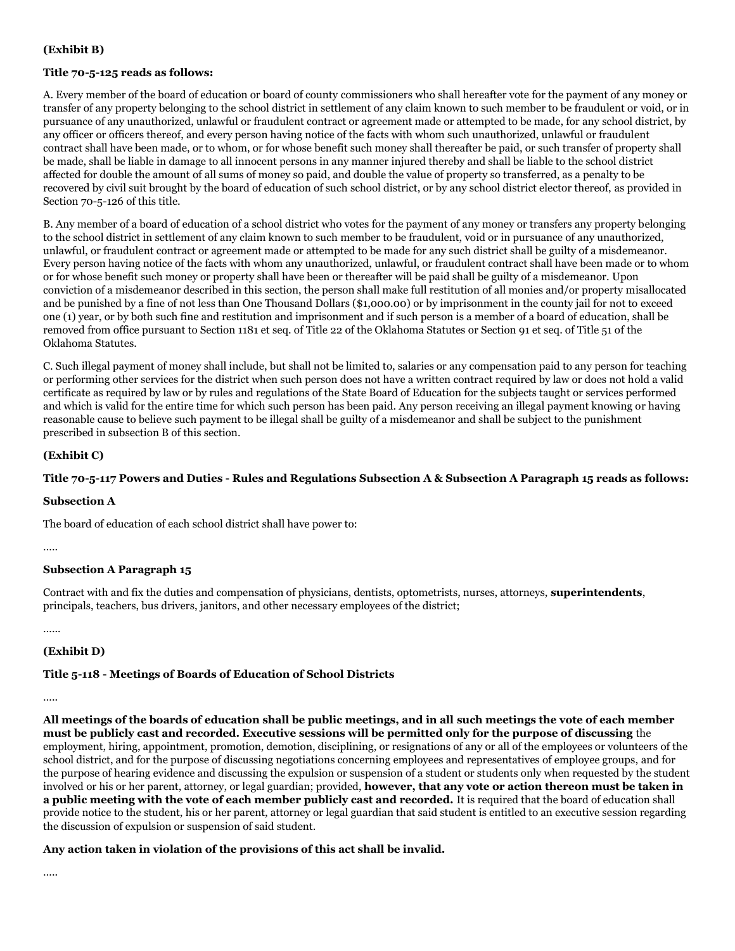#### **(Exhibit B)**

#### **Title 70-5-125 reads as follows:**

A. Every member of the board of education or board of county commissioners who shall hereafter vote for the payment of any money or transfer of any property belonging to the school district in settlement of any claim known to such member to be fraudulent or void, or in pursuance of any unauthorized, unlawful or fraudulent contract or agreement made or attempted to be made, for any school district, by any officer or officers thereof, and every person having notice of the facts with whom such unauthorized, unlawful or fraudulent contract shall have been made, or to whom, or for whose benefit such money shall thereafter be paid, or such transfer of property shall be made, shall be liable in damage to all innocent persons in any manner injured thereby and shall be liable to the school district affected for double the amount of all sums of money so paid, and double the value of property so transferred, as a penalty to be recovered by civil suit brought by the board of education of such school district, or by any school district elector thereof, as provided in Section 70-5-126 of this title.

B. Any member of a board of education of a school district who votes for the payment of any money or transfers any property belonging to the school district in settlement of any claim known to such member to be fraudulent, void or in pursuance of any unauthorized, unlawful, or fraudulent contract or agreement made or attempted to be made for any such district shall be guilty of a misdemeanor. Every person having notice of the facts with whom any unauthorized, unlawful, or fraudulent contract shall have been made or to whom or for whose benefit such money or property shall have been or thereafter will be paid shall be guilty of a misdemeanor. Upon conviction of a misdemeanor described in this section, the person shall make full restitution of all monies and/or property misallocated and be punished by a fine of not less than One Thousand Dollars (\$1,000.00) or by imprisonment in the county jail for not to exceed one (1) year, or by both such fine and restitution and imprisonment and if such person is a member of a board of education, shall be removed from office pursuant to Section 1181 et seq. of Title 22 of the Oklahoma Statutes or Section 91 et seq. of Title 51 of the Oklahoma Statutes.

C. Such illegal payment of money shall include, but shall not be limited to, salaries or any compensation paid to any person for teaching or performing other services for the district when such person does not have a written contract required by law or does not hold a valid certificate as required by law or by rules and regulations of the State Board of Education for the subjects taught or services performed and which is valid for the entire time for which such person has been paid. Any person receiving an illegal payment knowing or having reasonable cause to believe such payment to be illegal shall be guilty of a misdemeanor and shall be subject to the punishment prescribed in subsection B of this section.

#### **(Exhibit C)**

#### **Title 70-5-117 Powers and Duties - Rules and Regulations Subsection A & Subsection A Paragraph 15 reads as follows:**

#### **Subsection A**

The board of education of each school district shall have power to:

…..

#### **Subsection A Paragraph 15**

Contract with and fix the duties and compensation of physicians, dentists, optometrists, nurses, attorneys, **superintendents**, principals, teachers, bus drivers, janitors, and other necessary employees of the district;

…...

#### **(Exhibit D)**

#### **Title 5-118 - Meetings of Boards of Education of School Districts**

…..

**All meetings of the boards of education shall be public meetings, and in all such meetings the vote of each member must be publicly cast and recorded. Executive sessions will be permitted only for the purpose of discussing** the employment, hiring, appointment, promotion, demotion, disciplining, or resignations of any or all of the employees or volunteers of the school district, and for the purpose of discussing negotiations concerning employees and representatives of employee groups, and for the purpose of hearing evidence and discussing the expulsion or suspension of a student or students only when requested by the student involved or his or her parent, attorney, or legal guardian; provided, **however, that any vote or action thereon must be taken in a public meeting with the vote of each member publicly cast and recorded.** It is required that the board of education shall provide notice to the student, his or her parent, attorney or legal guardian that said student is entitled to an executive session regarding the discussion of expulsion or suspension of said student.

#### **Any action taken in violation of the provisions of this act shall be invalid.**

…..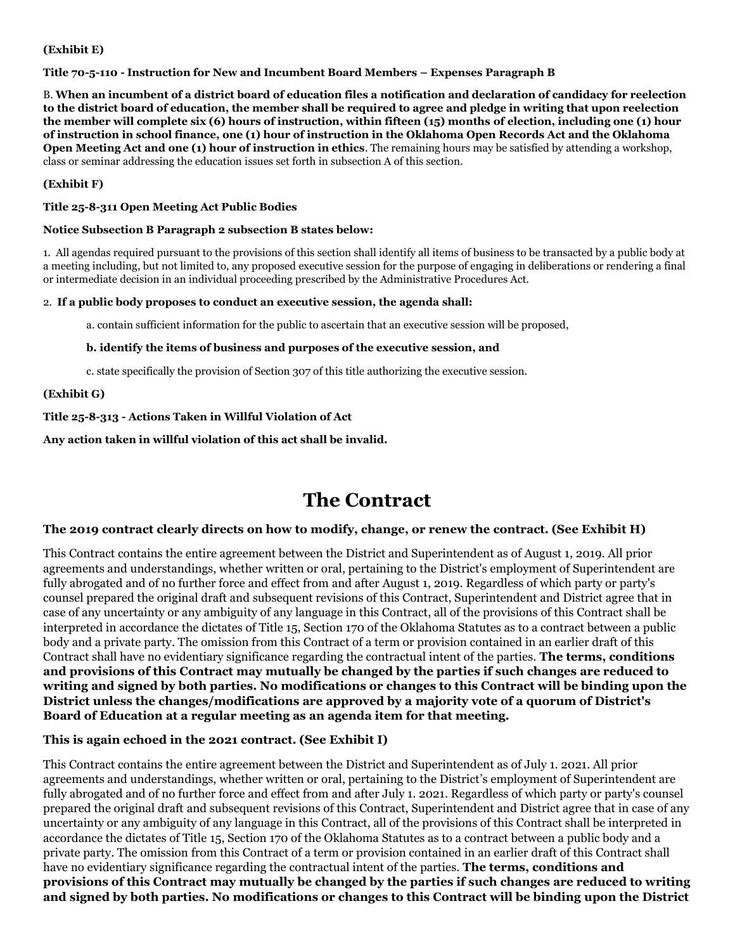#### **(Exhibit E)**

#### **Title 70-5-110 - Instruction for New and Incumbent Board Members – Expenses Paragraph B**

B. **When an incumbent of a district board of education files a notification and declaration of candidacy for reelection to the district board of education, the member shall be required to agree and pledge in writing that upon reelection the member will complete six (6) hours of instruction, within fifteen (15) months of election, including one (1) hour of instruction in school finance, one (1) hour of instruction in the Oklahoma Open Records Act and the Oklahoma Open Meeting Act and one (1) hour of instruction in ethics**. The remaining hours may be satisfied by attending a workshop, class or seminar addressing the education issues set forth in subsection A of this section.

#### **(Exhibit F)**

#### **Title 25-8-311 Open Meeting Act Public Bodies**

#### **Notice Subsection B Paragraph 2 subsection B states below:**

1. All agendas required pursuant to the provisions of this section shall identify all items of business to be transacted by a public body at a meeting including, but not limited to, any proposed executive session for the purpose of engaging in deliberations or rendering a final or intermediate decision in an individual proceeding prescribed by the Administrative Procedures Act.

#### 2. **If a public body proposes to conduct an executive session, the agenda shall:**

a. contain sufficient information for the public to ascertain that an executive session will be proposed,

#### **b. identify the items of business and purposes of the executive session, and**

c. state specifically the provision of Section 307 of this title authorizing the executive session.

#### **(Exhibit G)**

#### **Title 25-8-313 - Actions Taken in Willful Violation of Act**

**Any action taken in willful violation of this act shall be invalid.**

# **The Contract**

#### **The 2019 contract clearly directs on how to modify, change, or renew the contract. (See Exhibit H)**

This Contract contains the entire agreement between the District and Superintendent as of August 1, 2019. All prior agreements and understandings, whether written or oral, pertaining to the District's employment of Superintendent are fully abrogated and of no further force and effect from and after August 1, 2019. Regardless of which party or party's counsel prepared the original draft and subsequent revisions of this Contract, Superintendent and District agree that in case of any uncertainty or any ambiguity of any language in this Contract, all of the provisions of this Contract shall be interpreted in accordance the dictates of Title 15, Section 170 of the Oklahoma Statutes as to a contract between a public body and a private party. The omission from this Contract of a term or provision contained in an earlier draft of this Contract shall have no evidentiary significance regarding the contractual intent of the parties. **The terms, conditions and provisions of this Contract may mutually be changed by the parties if such changes are reduced to writing and signed by both parties. No modifications or changes to this Contract will be binding upon the District unless the changes/modifications are approved by a majority vote of a quorum of District's Board of Education at a regular meeting as an agenda item for that meeting.**

#### **This is again echoed in the 2021 contract. (See Exhibit I)**

This Contract contains the entire agreement between the District and Superintendent as of July 1. 2021. All prior agreements and understandings, whether written or oral, pertaining to the District's employment of Superintendent are fully abrogated and of no further force and effect from and after July 1. 2021. Regardless of which party or party's counsel prepared the original draft and subsequent revisions of this Contract, Superintendent and District agree that in case of any uncertainty or any ambiguity of any language in this Contract, all of the provisions of this Contract shall be interpreted in accordance the dictates of Title 15, Section 170 of the Oklahoma Statutes as to a contract between a public body and a private party. The omission from this Contract of a term or provision contained in an earlier draft of this Contract shall have no evidentiary significance regarding the contractual intent of the parties. **The terms, conditions and provisions of this Contract may mutually be changed by the parties if such changes are reduced to writing and signed by both parties. No modifications or changes to this Contract will be binding upon the District**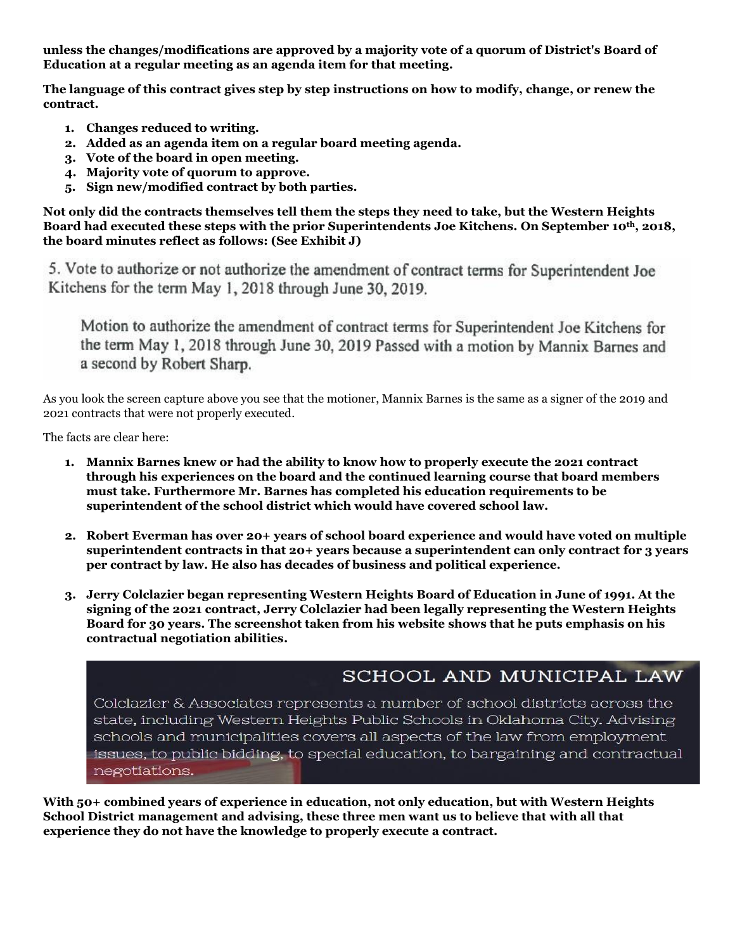**unless the changes/modifications are approved by a majority vote of a quorum of District's Board of Education at a regular meeting as an agenda item for that meeting.**

**The language of this contract gives step by step instructions on how to modify, change, or renew the contract.**

- **1. Changes reduced to writing.**
- **2. Added as an agenda item on a regular board meeting agenda.**
- **3. Vote of the board in open meeting.**
- **4. Majority vote of quorum to approve.**
- **5. Sign new/modified contract by both parties.**

**Not only did the contracts themselves tell them the steps they need to take, but the Western Heights Board had executed these steps with the prior Superintendents Joe Kitchens. On September 10th, 2018, the board minutes reflect as follows: (See Exhibit J)**

5. Vote to authorize or not authorize the amendment of contract terms for Superintendent Joe Kitchens for the term May 1, 2018 through June 30, 2019.

Motion to authorize the amendment of contract terms for Superintendent Joe Kitchens for the term May 1, 2018 through June 30, 2019 Passed with a motion by Mannix Barnes and a second by Robert Sharp.

As you look the screen capture above you see that the motioner, Mannix Barnes is the same as a signer of the 2019 and 2021 contracts that were not properly executed.

The facts are clear here:

- **1. Mannix Barnes knew or had the ability to know how to properly execute the 2021 contract through his experiences on the board and the continued learning course that board members must take. Furthermore Mr. Barnes has completed his education requirements to be superintendent of the school district which would have covered school law.**
- **2. Robert Everman has over 20+ years of school board experience and would have voted on multiple superintendent contracts in that 20+ years because a superintendent can only contract for 3 years per contract by law. He also has decades of business and political experience.**
- **3. Jerry Colclazier began representing Western Heights Board of Education in June of 1991. At the signing of the 2021 contract, Jerry Colclazier had been legally representing the Western Heights Board for 30 years. The screenshot taken from his website shows that he puts emphasis on his contractual negotiation abilities.**

### SCHOOL AND MUNICIPAL LAW

Colclazier & Associates represents a number of school districts across the state, including Western Heights Public Schools in Oklahoma City. Advising schools and municipalities covers all aspects of the law from employment issues, to public bidding, to special education, to bargaining and contractual negotiations.

**With 50+ combined years of experience in education, not only education, but with Western Heights School District management and advising, these three men want us to believe that with all that experience they do not have the knowledge to properly execute a contract.**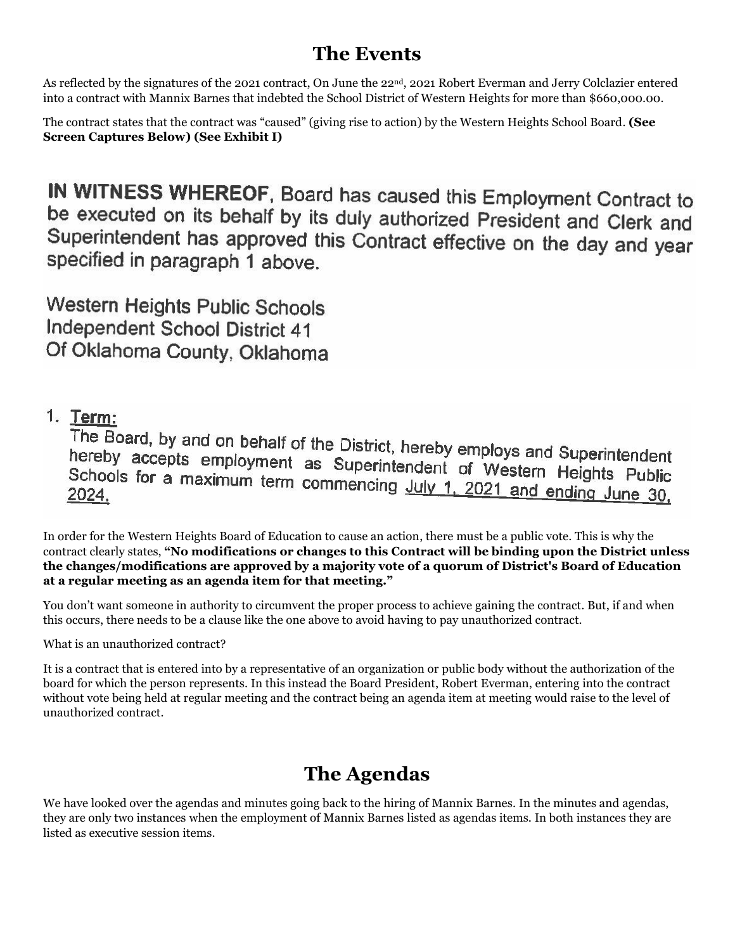# **The Events**

As reflected by the signatures of the 2021 contract, On June the 22nd, 2021 Robert Everman and Jerry Colclazier entered into a contract with Mannix Barnes that indebted the School District of Western Heights for more than \$660,000.00.

The contract states that the contract was "caused" (giving rise to action) by the Western Heights School Board. **(See Screen Captures Below) (See Exhibit I)**

IN WITNESS WHEREOF, Board has caused this Employment Contract to be executed on its behalf by its duly authorized President and Clerk and Superintendent has approved this Contract effective on the day and year specified in paragraph 1 above.

**Western Heights Public Schools Independent School District 41** Of Oklahoma County, Oklahoma

### 1. Term:

The Board, by and on behalf of the District, hereby employs and Superintendent<br>hereby accepts employment as Superintendent of Wisson Superintendent hereby accepts employment as Superintendent of Western Heights Public<br>Schools for a maximum term commencing lub 4, 2004 Schools for a maximum term commencing July 1, 2021 and ending June 30, 2024.

In order for the Western Heights Board of Education to cause an action, there must be a public vote. This is why the contract clearly states, **"No modifications or changes to this Contract will be binding upon the District unless the changes/modifications are approved by a majority vote of a quorum of District's Board of Education at a regular meeting as an agenda item for that meeting."**

You don't want someone in authority to circumvent the proper process to achieve gaining the contract. But, if and when this occurs, there needs to be a clause like the one above to avoid having to pay unauthorized contract.

What is an unauthorized contract?

It is a contract that is entered into by a representative of an organization or public body without the authorization of the board for which the person represents. In this instead the Board President, Robert Everman, entering into the contract without vote being held at regular meeting and the contract being an agenda item at meeting would raise to the level of unauthorized contract.

# **The Agendas**

We have looked over the agendas and minutes going back to the hiring of Mannix Barnes. In the minutes and agendas, they are only two instances when the employment of Mannix Barnes listed as agendas items. In both instances they are listed as executive session items.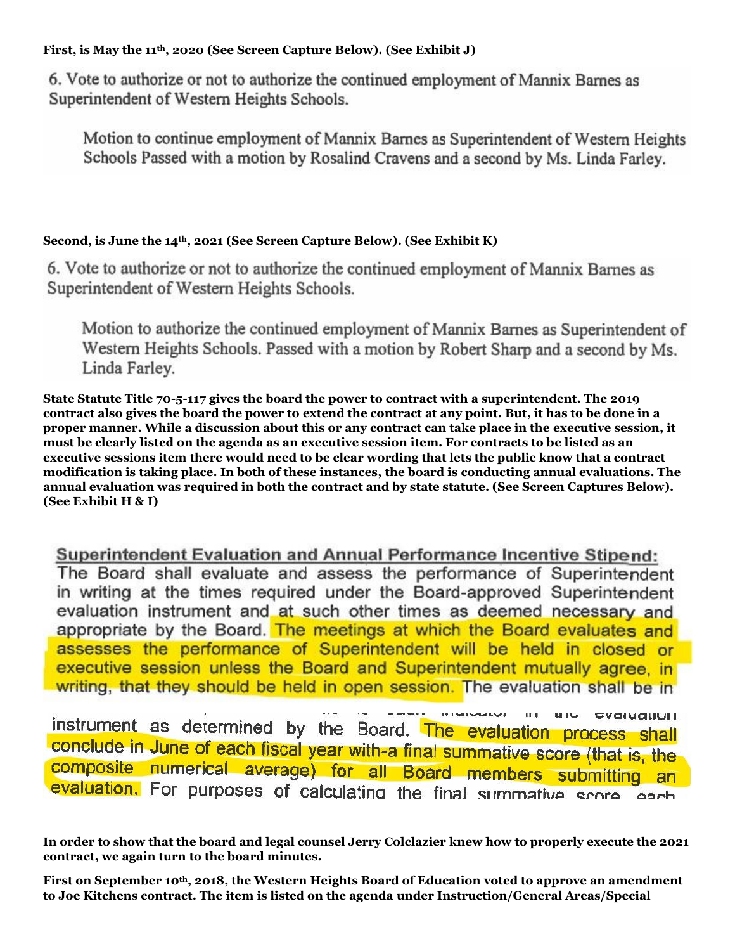**First, is May the 11th, 2020 (See Screen Capture Below). (See Exhibit J)**

6. Vote to authorize or not to authorize the continued employment of Mannix Barnes as Superintendent of Western Heights Schools.

Motion to continue employment of Mannix Barnes as Superintendent of Western Heights Schools Passed with a motion by Rosalind Cravens and a second by Ms. Linda Farley.

### **Second, is June the 14th, 2021 (See Screen Capture Below). (See Exhibit K)**

6. Vote to authorize or not to authorize the continued employment of Mannix Barnes as Superintendent of Western Heights Schools.

Motion to authorize the continued employment of Mannix Barnes as Superintendent of Western Heights Schools. Passed with a motion by Robert Sharp and a second by Ms. Linda Farley.

**State Statute Title 70-5-117 gives the board the power to contract with a superintendent. The 2019 contract also gives the board the power to extend the contract at any point. But, it has to be done in a proper manner. While a discussion about this or any contract can take place in the executive session, it must be clearly listed on the agenda as an executive session item. For contracts to be listed as an executive sessions item there would need to be clear wording that lets the public know that a contract modification is taking place. In both of these instances, the board is conducting annual evaluations. The annual evaluation was required in both the contract and by state statute. (See Screen Captures Below). (See Exhibit H & I)**

**Superintendent Evaluation and Annual Performance Incentive Stipend:** The Board shall evaluate and assess the performance of Superintendent in writing at the times required under the Board-approved Superintendent evaluation instrument and at such other times as deemed necessary and appropriate by the Board. The meetings at which the Board evaluates and assesses the performance of Superintendent will be held in closed or executive session unless the Board and Superintendent mutually agree, in writing, that they should be held in open session. The evaluation shall be in

**WIN** GVGIUQUUIT instrument as determined by the Board. The evaluation process shall conclude in June of each fiscal year with-a final summative score (that is, the composite numerical average) for all Board members submitting an evaluation. For purposes of calculating the final summative score each

**In order to show that the board and legal counsel Jerry Colclazier knew how to properly execute the 2021 contract, we again turn to the board minutes.**

**First on September 10th, 2018, the Western Heights Board of Education voted to approve an amendment to Joe Kitchens contract. The item is listed on the agenda under Instruction/General Areas/Special**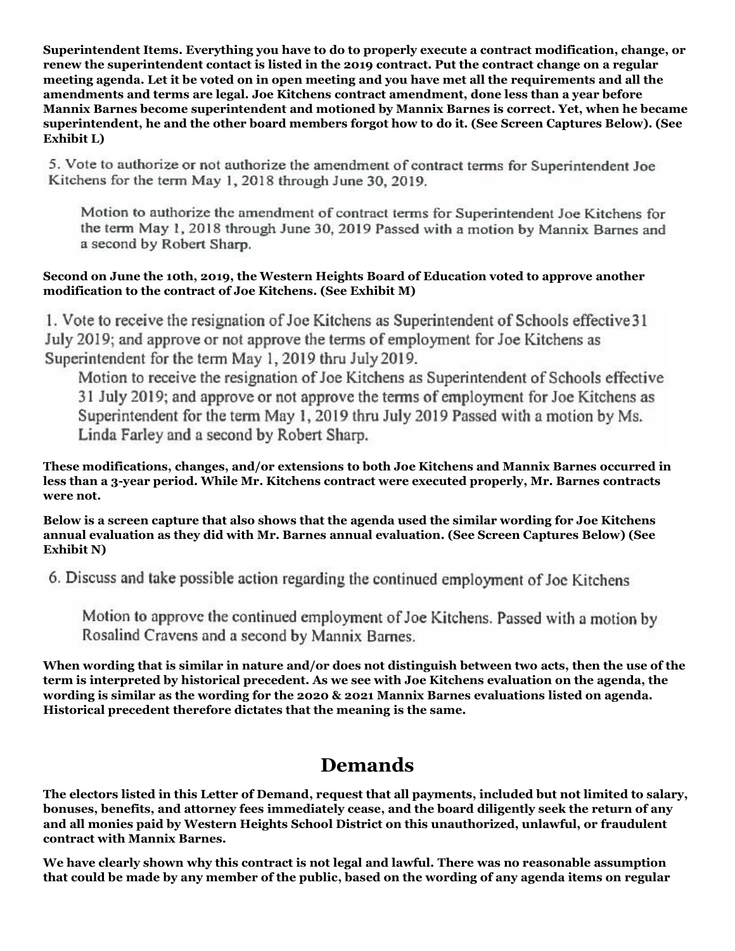**Superintendent Items. Everything you have to do to properly execute a contract modification, change, or renew the superintendent contact is listed in the 2019 contract. Put the contract change on a regular meeting agenda. Let it be voted on in open meeting and you have met all the requirements and all the amendments and terms are legal. Joe Kitchens contract amendment, done less than a year before Mannix Barnes become superintendent and motioned by Mannix Barnes is correct. Yet, when he became superintendent, he and the other board members forgot how to do it. (See Screen Captures Below). (See Exhibit L)**

5. Vote to authorize or not authorize the amendment of contract terms for Superintendent Joe Kitchens for the term May 1, 2018 through June 30, 2019.

Motion to authorize the amendment of contract terms for Superintendent Joe Kitchens for the term May 1, 2018 through June 30, 2019 Passed with a motion by Mannix Barnes and a second by Robert Sharp.

#### **Second on June the 10th, 2019, the Western Heights Board of Education voted to approve another modification to the contract of Joe Kitchens. (See Exhibit M)**

1. Vote to receive the resignation of Joe Kitchens as Superintendent of Schools effective 31 July 2019; and approve or not approve the terms of employment for Joe Kitchens as Superintendent for the term May 1, 2019 thru July 2019.

Motion to receive the resignation of Joe Kitchens as Superintendent of Schools effective 31 July 2019; and approve or not approve the terms of employment for Joe Kitchens as Superintendent for the term May 1, 2019 thru July 2019 Passed with a motion by Ms. Linda Farley and a second by Robert Sharp.

**These modifications, changes, and/or extensions to both Joe Kitchens and Mannix Barnes occurred in less than a 3-year period. While Mr. Kitchens contract were executed properly, Mr. Barnes contracts were not.** 

**Below is a screen capture that also shows that the agenda used the similar wording for Joe Kitchens annual evaluation as they did with Mr. Barnes annual evaluation. (See Screen Captures Below) (See Exhibit N)**

6. Discuss and take possible action regarding the continued employment of Joe Kitchens

Motion to approve the continued employment of Joe Kitchens. Passed with a motion by Rosalind Cravens and a second by Mannix Barnes.

**When wording that is similar in nature and/or does not distinguish between two acts, then the use of the term is interpreted by historical precedent. As we see with Joe Kitchens evaluation on the agenda, the wording is similar as the wording for the 2020 & 2021 Mannix Barnes evaluations listed on agenda. Historical precedent therefore dictates that the meaning is the same.**

## **Demands**

**The electors listed in this Letter of Demand, request that all payments, included but not limited to salary, bonuses, benefits, and attorney fees immediately cease, and the board diligently seek the return of any and all monies paid by Western Heights School District on this unauthorized, unlawful, or fraudulent contract with Mannix Barnes.**

**We have clearly shown why this contract is not legal and lawful. There was no reasonable assumption that could be made by any member of the public, based on the wording of any agenda items on regular**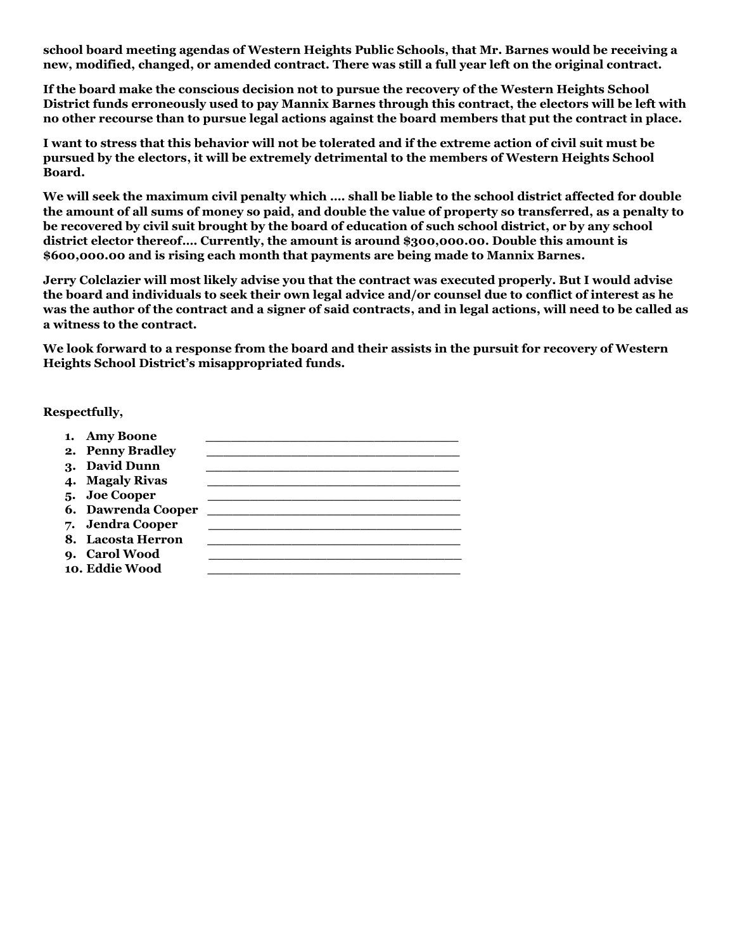**school board meeting agendas of Western Heights Public Schools, that Mr. Barnes would be receiving a new, modified, changed, or amended contract. There was still a full year left on the original contract.**

**If the board make the conscious decision not to pursue the recovery of the Western Heights School District funds erroneously used to pay Mannix Barnes through this contract, the electors will be left with no other recourse than to pursue legal actions against the board members that put the contract in place.**

**I want to stress that this behavior will not be tolerated and if the extreme action of civil suit must be pursued by the electors, it will be extremely detrimental to the members of Western Heights School Board.**

**We will seek the maximum civil penalty which …. shall be liable to the school district affected for double the amount of all sums of money so paid, and double the value of property so transferred, as a penalty to be recovered by civil suit brought by the board of education of such school district, or by any school district elector thereof…. Currently, the amount is around \$300,000.00. Double this amount is \$600,000.00 and is rising each month that payments are being made to Mannix Barnes.**

**Jerry Colclazier will most likely advise you that the contract was executed properly. But I would advise the board and individuals to seek their own legal advice and/or counsel due to conflict of interest as he was the author of the contract and a signer of said contracts, and in legal actions, will need to be called as a witness to the contract.**

**We look forward to a response from the board and their assists in the pursuit for recovery of Western Heights School District's misappropriated funds.**

**Respectfully,**

1. **Amy Boone** 2. **Penny Bradley 3. David Dunn \_\_\_\_\_\_\_\_\_\_\_\_\_\_\_\_\_\_\_\_\_\_\_\_\_\_\_\_\_\_ 4. Magaly Rivas \_\_\_\_\_\_\_\_\_\_\_\_\_\_\_\_\_\_\_\_\_\_\_\_\_\_\_\_\_\_ 5. Joe Cooper \_\_\_\_\_\_\_\_\_\_\_\_\_\_\_\_\_\_\_\_\_\_\_\_\_\_\_\_\_\_ 6. Dawrenda Cooper \_\_\_\_\_\_\_\_\_\_\_\_\_\_\_\_\_\_\_\_\_\_\_\_\_\_\_\_\_\_ 7. Jendra Cooper \_\_\_\_\_\_\_\_\_\_\_\_\_\_\_\_\_\_\_\_\_\_\_\_\_\_\_\_\_\_ 8. Lacosta Herron \_\_\_\_\_\_\_\_\_\_\_\_\_\_\_\_\_\_\_\_\_\_\_\_\_\_\_\_\_\_ 9. Carol Wood \_\_\_\_\_\_\_\_\_\_\_\_\_\_\_\_\_\_\_\_\_\_\_\_\_\_\_\_\_\_ 10. Eddie Wood \_\_\_\_\_\_\_\_\_\_\_\_\_\_\_\_\_\_\_\_\_\_\_\_\_\_\_\_\_\_**